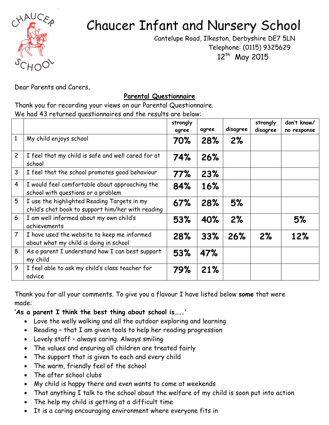

## Chaucer Infant and Nursery School

 Cantelupe Road, Ilkeston, Derbyshire DE7 5LN Telephone: (0115) 9325629 12<sup>th</sup> May 2015

Dear Parents and Carers,

## **Parental Questionnaire**

Thank you for recording your views on our Parental Questionnaire. We had 43 returned questionnaires and the results are below:

|                |                                                                                                  | strongly<br>agree | agree | disagree | strongly<br>disagree | don't know/<br>no response |
|----------------|--------------------------------------------------------------------------------------------------|-------------------|-------|----------|----------------------|----------------------------|
| 1              | My child enjoys school                                                                           | 70%               | 28%   | 2%       |                      |                            |
| $\overline{c}$ | I feel that my child is safe and well cared for at<br>school                                     | 74%               | 26%   |          |                      |                            |
| 3              | I feel that the school promotes good behaviour                                                   | 77%               | 23%   |          |                      |                            |
| $\overline{4}$ | I would feel comfortable about approaching the<br>school with questions or a problem             | 84%               | 16%   |          |                      |                            |
| 5              | I use the highlighted Reading Targets in my<br>child's chat book to support him/her with reading | 67%               | 28%   | 5%       |                      |                            |
| 6              | I am well informed about my own child's<br>achievements                                          | 53%               | 40%   | 2%       |                      | 5%                         |
| $\overline{7}$ | I have used the website to keep me informed<br>about what my child is doing in school            | 28%               | 33%   | 26%      | 2%                   | 12%                        |
| 8              | As a parent I understand how I can best support<br>my child                                      | 53%               | 47%   |          |                      |                            |
| 9              | I feel able to ask my child's class teacher for<br>advice                                        | 79%               | 21%   |          |                      |                            |

Thank you for all your comments. To give you a flavour I have listed below **some** that were made:

**'As a parent I think the best thing about school is…..'**

- Love the welly walking and all the outdoor exploring and learning
- Reading that I am given tools to help her reading progression
- Lovely staff always caring. Always smiling
- The values and ensuring all children are treated fairly
- The support that is given to each and every child
- The warm, friendly feel of the school
- The after school clubs
- My child is happy there and even wants to come at weekends
- That anything I talk to the school about the welfare of my child is soon put into action
- The help my child is getting at a difficult time
- It is a caring encouraging environment where everyone fits in